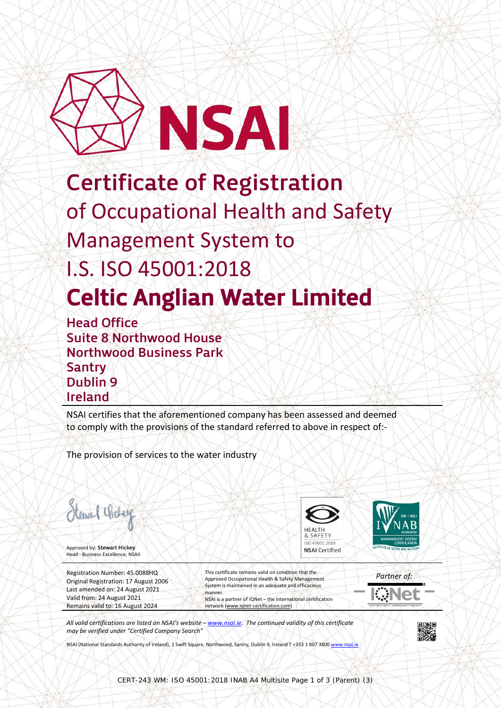

## Certificate of Registration of Occupational Health and Safety Management System to I.S. ISO 45001:2018 **Celtic Anglian Water Limited**<br>Head Office

Suite 8 Northwood House Northwood Business Park Santry Dublin 9 Ireland

NSAI certifies that the aforementioned company has been assessed and deemed to comply with the provisions of the standard referred to above in respect of:-

The provision of services to the water industry



Approved by: Stewart Hickey Head - Business Excellence, NSAII

Registration Number: 45.0088HQ Original Registration: 17 August 2006 Last amended on: 24 August 2021 Valid from: 24 August 2021 Remains valid to: 16 August 2024

This certificate remains valid on condition that the Approved Occupational Health & Safety Management System is maintained in an adequate and efficacious manner. NSAI is a partner of IQNet – the international certification network [\(www.iqnet-certification.com\)](http://www.iqnet-certification.com/)

**HFAITH** 0 45001:201 **NSAI Certified** 

*Partner of:* €∉Ne

*All valid certifications are listed on NSAI's website – [www.nsai.ie.](http://www.nsai.ie/) The continued validity of this certificate may be verified under "Certified Company Search"*

NSAI (National Standards Authority of Ireland), 1 Swift Square, Northwood, Santry, Dublin 9, Ireland T +353 1 807 380[0 www.nsai.ie](http://www.nsai.ie/)

CERT-243 WM: ISO 45001:2018 INAB A4 Multisite Page 1 of 3 (Parent) (3)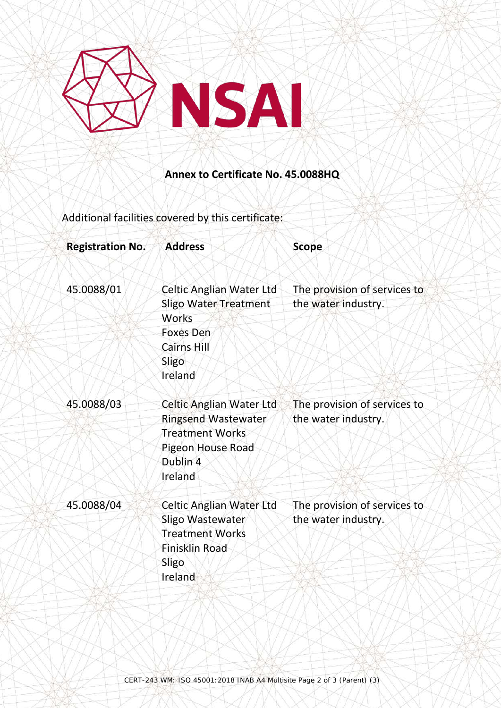

## **Annex to Certificate No. 45.0088HQ**

Additional facilities covered by this certificate:

| <b>Registration No.</b> | <b>Address</b>               | <b>Scope</b>                 |
|-------------------------|------------------------------|------------------------------|
| 45.0088/01              | Celtic Anglian Water Ltd     | The provision of services to |
|                         | <b>Sligo Water Treatment</b> | the water industry.          |
|                         | Works                        |                              |
|                         | <b>Foxes Den</b>             |                              |
|                         | <b>Cairns Hill</b>           |                              |
|                         | Sligo                        |                              |
|                         | Ireland                      |                              |
| 45.0088/03              | Celtic Anglian Water Ltd     | The provision of services to |
|                         | <b>Ringsend Wastewater</b>   | the water industry.          |
|                         | <b>Treatment Works</b>       |                              |
|                         | Pigeon House Road            |                              |
|                         | Dublin 4                     |                              |
|                         | Ireland                      |                              |
| 45.0088/04              | Celtic Anglian Water Ltd     | The provision of services to |
|                         | Sligo Wastewater             | the water industry.          |
|                         | <b>Treatment Works</b>       |                              |
|                         | <b>Finisklin Road</b>        |                              |
|                         | Sligo                        |                              |
|                         | Ireland                      |                              |
|                         |                              |                              |
|                         |                              |                              |